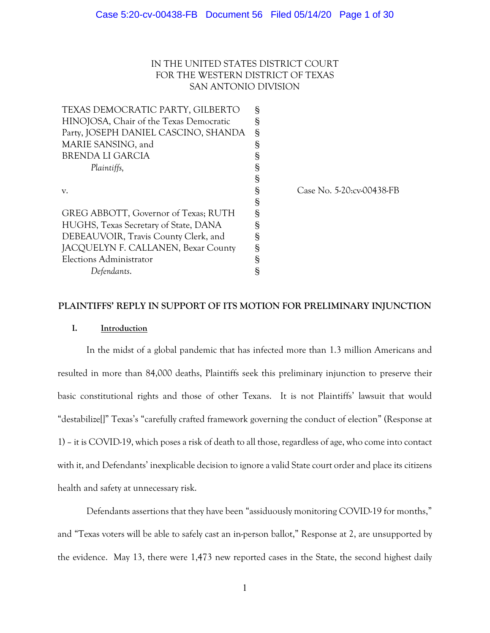# IN THE UNITED STATES DISTRICT COURT FOR THE WESTERN DISTRICT OF TEXAS SAN ANTONIO DIVISION

| TEXAS DEMOCRATIC PARTY, GILBERTO        | Ş |                           |
|-----------------------------------------|---|---------------------------|
| HINOJOSA, Chair of the Texas Democratic | Ş |                           |
| Party, JOSEPH DANIEL CASCINO, SHANDA    | S |                           |
| MARIE SANSING, and                      | § |                           |
| BRENDA LI GARCIA                        | S |                           |
| Plaintiffs,                             | ş |                           |
|                                         | § |                           |
| V.                                      | ş | Case No. 5-20:cv-00438-FB |
|                                         | S |                           |
| GREG ABBOTT, Governor of Texas; RUTH    | ş |                           |
| HUGHS, Texas Secretary of State, DANA   | ş |                           |
| DEBEAUVOIR, Travis County Clerk, and    | ş |                           |
| JACQUELYN F. CALLANEN, Bexar County     | ş |                           |
| Elections Administrator                 | § |                           |
| Defendants.                             | ş |                           |
|                                         |   |                           |

## **PLAINTIFFS' REPLY IN SUPPORT OF ITS MOTION FOR PRELIMINARY INJUNCTION**

## **I. Introduction**

In the midst of a global pandemic that has infected more than 1.3 million Americans and resulted in more than 84,000 deaths, Plaintiffs seek this preliminary injunction to preserve their basic constitutional rights and those of other Texans. It is not Plaintiffs' lawsuit that would "destabilize[]" Texas's "carefully crafted framework governing the conduct of election" (Response at 1) – it is COVID-19, which poses a risk of death to all those, regardless of age, who come into contact with it, and Defendants' inexplicable decision to ignore a valid State court order and place its citizens health and safety at unnecessary risk.

Defendants assertions that they have been "assiduously monitoring COVID-19 for months," and "Texas voters will be able to safely cast an in-person ballot," Response at 2, are unsupported by the evidence. May 13, there were 1,473 new reported cases in the State, the second highest daily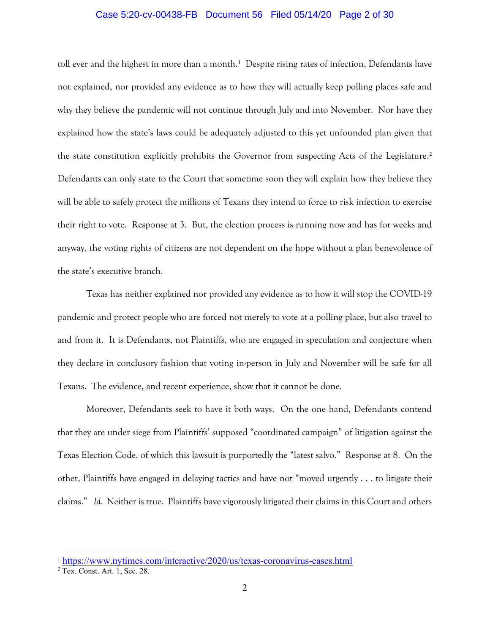## Case 5:20-cv-00438-FB Document 56 Filed 05/14/20 Page 2 of 30

toll ever and the highest in more than a month.<sup>[1](#page-1-0)</sup> Despite rising rates of infection, Defendants have not explained, nor provided any evidence as to how they will actually keep polling places safe and why they believe the pandemic will not continue through July and into November. Nor have they explained how the state's laws could be adequately adjusted to this yet unfounded plan given that the state constitution explicitly prohibits the Governor from suspecting Acts of the Legislature.[2](#page-1-1) Defendants can only state to the Court that sometime soon they will explain how they believe they will be able to safely protect the millions of Texans they intend to force to risk infection to exercise their right to vote. Response at 3. But, the election process is running now and has for weeks and anyway, the voting rights of citizens are not dependent on the hope without a plan benevolence of the state's executive branch.

Texas has neither explained nor provided any evidence as to how it will stop the COVID-19 pandemic and protect people who are forced not merely to vote at a polling place, but also travel to and from it. It is Defendants, not Plaintiffs, who are engaged in speculation and conjecture when they declare in conclusory fashion that voting in-person in July and November will be safe for all Texans. The evidence, and recent experience, show that it cannot be done.

Moreover, Defendants seek to have it both ways. On the one hand, Defendants contend that they are under siege from Plaintiffs' supposed "coordinated campaign" of litigation against the Texas Election Code, of which this lawsuit is purportedly the "latest salvo." Response at 8. On the other, Plaintiffs have engaged in delaying tactics and have not "moved urgently . . . to litigate their claims." *Id*. Neither is true. Plaintiffs have vigorously litigated their claims in this Court and others

<span id="page-1-0"></span><sup>1</sup> <https://www.nytimes.com/interactive/2020/us/texas-coronavirus-cases.html>

<span id="page-1-1"></span><sup>2</sup> Tex. Const. Art. 1, Sec. 28.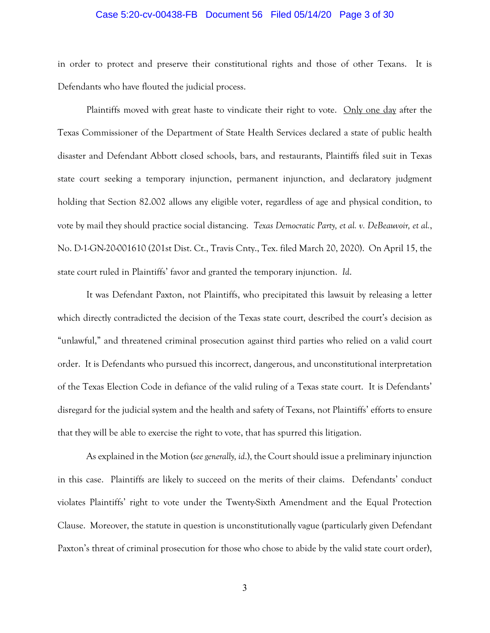## Case 5:20-cv-00438-FB Document 56 Filed 05/14/20 Page 3 of 30

in order to protect and preserve their constitutional rights and those of other Texans. It is Defendants who have flouted the judicial process.

Plaintiffs moved with great haste to vindicate their right to vote. Only one day after the Texas Commissioner of the Department of State Health Services declared a state of public health disaster and Defendant Abbott closed schools, bars, and restaurants, Plaintiffs filed suit in Texas state court seeking a temporary injunction, permanent injunction, and declaratory judgment holding that Section 82.002 allows any eligible voter, regardless of age and physical condition, to vote by mail they should practice social distancing. *Texas Democratic Party, et al. v. DeBeauvoir, et al.*, No. D-1-GN-20-001610 (201st Dist. Ct., Travis Cnty., Tex. filed March 20, 2020). On April 15, the state court ruled in Plaintiffs' favor and granted the temporary injunction. *Id*.

It was Defendant Paxton, not Plaintiffs, who precipitated this lawsuit by releasing a letter which directly contradicted the decision of the Texas state court, described the court's decision as "unlawful," and threatened criminal prosecution against third parties who relied on a valid court order. It is Defendants who pursued this incorrect, dangerous, and unconstitutional interpretation of the Texas Election Code in defiance of the valid ruling of a Texas state court. It is Defendants' disregard for the judicial system and the health and safety of Texans, not Plaintiffs' efforts to ensure that they will be able to exercise the right to vote, that has spurred this litigation.

As explained in the Motion (*see generally, id*.), the Court should issue a preliminary injunction in this case. Plaintiffs are likely to succeed on the merits of their claims. Defendants' conduct violates Plaintiffs' right to vote under the Twenty-Sixth Amendment and the Equal Protection Clause. Moreover, the statute in question is unconstitutionally vague (particularly given Defendant Paxton's threat of criminal prosecution for those who chose to abide by the valid state court order),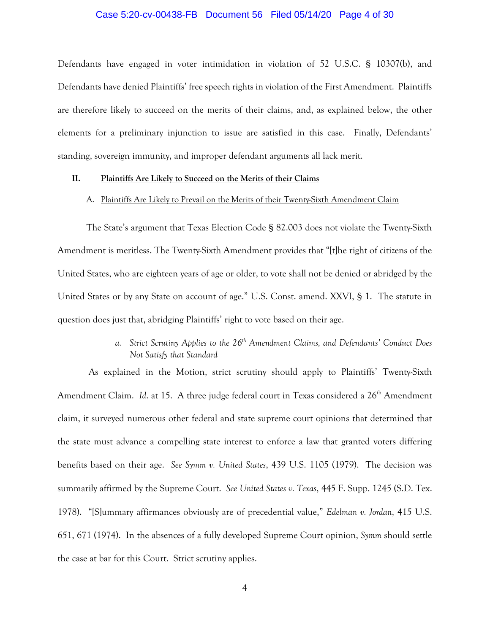## Case 5:20-cv-00438-FB Document 56 Filed 05/14/20 Page 4 of 30

Defendants have engaged in voter intimidation in violation of 52 U.S.C. § 10307(b), and Defendants have denied Plaintiffs' free speech rights in violation of the First Amendment. Plaintiffs are therefore likely to succeed on the merits of their claims, and, as explained below, the other elements for a preliminary injunction to issue are satisfied in this case. Finally, Defendants' standing, sovereign immunity, and improper defendant arguments all lack merit.

## **II. Plaintiffs Are Likely to Succeed on the Merits of their Claims**

## A. Plaintiffs Are Likely to Prevail on the Merits of their Twenty-Sixth Amendment Claim

The State's argument that Texas Election Code § 82.003 does not violate the Twenty-Sixth Amendment is meritless. The Twenty-Sixth Amendment provides that "[t]he right of citizens of the United States, who are eighteen years of age or older, to vote shall not be denied or abridged by the United States or by any State on account of age." U.S. Const. amend. XXVI, § 1. The statute in question does just that, abridging Plaintiffs' right to vote based on their age.

# *a. Strict Scrutiny Applies to the 26th Amendment Claims, and Defendants' Conduct Does Not Satisfy that Standard*

As explained in the Motion, strict scrutiny should apply to Plaintiffs' Twenty-Sixth Amendment Claim. *Id.* at 15. A three judge federal court in Texas considered a 26<sup>th</sup> Amendment claim, it surveyed numerous other federal and state supreme court opinions that determined that the state must advance a compelling state interest to enforce a law that granted voters differing benefits based on their age. *See Symm v. United States*, 439 U.S. 1105 (1979). The decision was summarily affirmed by the Supreme Court. *See United States v. Texas*, 445 F. Supp. 1245 (S.D. Tex. 1978). "[S]ummary affirmances obviously are of precedential value," *Edelman v. Jordan*, 415 U.S. 651, 671 (1974). In the absences of a fully developed Supreme Court opinion, *Symm* should settle the case at bar for this Court. Strict scrutiny applies.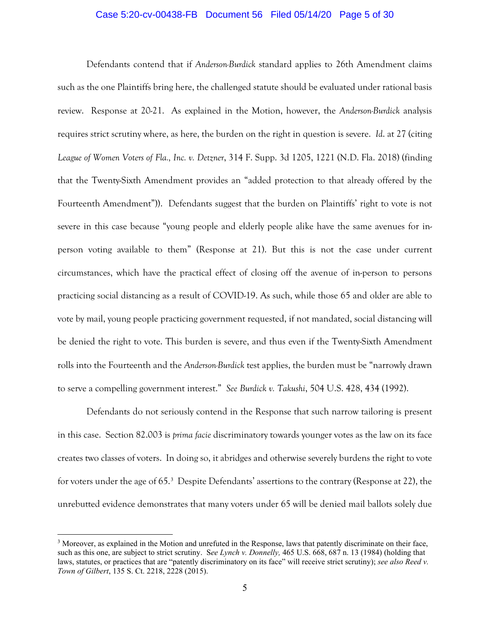## Case 5:20-cv-00438-FB Document 56 Filed 05/14/20 Page 5 of 30

Defendants contend that if *Anderson-Burdick* standard applies to 26th Amendment claims such as the one Plaintiffs bring here, the challenged statute should be evaluated under rational basis review. Response at 20-21. As explained in the Motion, however, the *Anderson-Burdick* analysis requires strict scrutiny where, as here, the burden on the right in question is severe. *Id*. at 27 (citing *League of Women Voters of Fla., Inc. v. Detzner*, 314 F. Supp. 3d 1205, 1221 (N.D. Fla. 2018) (finding that the Twenty-Sixth Amendment provides an "added protection to that already offered by the Fourteenth Amendment")). Defendants suggest that the burden on Plaintiffs' right to vote is not severe in this case because "young people and elderly people alike have the same avenues for inperson voting available to them" (Response at 21). But this is not the case under current circumstances, which have the practical effect of closing off the avenue of in-person to persons practicing social distancing as a result of COVID-19. As such, while those 65 and older are able to vote by mail, young people practicing government requested, if not mandated, social distancing will be denied the right to vote. This burden is severe, and thus even if the Twenty-Sixth Amendment rolls into the Fourteenth and the *Anderson-Burdick* test applies, the burden must be "narrowly drawn to serve a compelling government interest." *See Burdick v. Takushi*, 504 U.S. 428, 434 (1992).

Defendants do not seriously contend in the Response that such narrow tailoring is present in this case. Section 82.003 is *prima facie* discriminatory towards younger votes as the law on its face creates two classes of voters. In doing so, it abridges and otherwise severely burdens the right to vote for voters under the age of 65.[3](#page-4-0) Despite Defendants' assertions to the contrary (Response at 22), the unrebutted evidence demonstrates that many voters under 65 will be denied mail ballots solely due

<span id="page-4-0"></span><sup>3</sup> Moreover, as explained in the Motion and unrefuted in the Response, laws that patently discriminate on their face, such as this one, are subject to strict scrutiny. S*ee Lynch v. Donnelly,* 465 U.S. 668, 687 n. 13 (1984) (holding that laws, statutes, or practices that are "patently discriminatory on its face" will receive strict scrutiny); *see also Reed v. Town of Gilbert*, 135 S. Ct. 2218, 2228 (2015).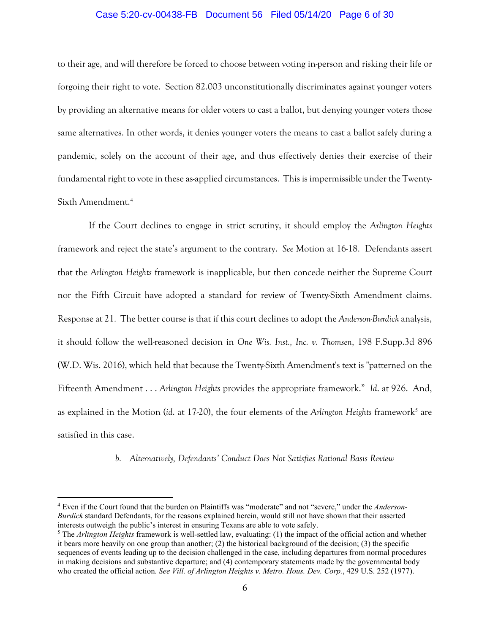## Case 5:20-cv-00438-FB Document 56 Filed 05/14/20 Page 6 of 30

to their age, and will therefore be forced to choose between voting in-person and risking their life or forgoing their right to vote. Section 82.003 unconstitutionally discriminates against younger voters by providing an alternative means for older voters to cast a ballot, but denying younger voters those same alternatives. In other words, it denies younger voters the means to cast a ballot safely during a pandemic, solely on the account of their age, and thus effectively denies their exercise of their fundamental right to vote in these as-applied circumstances. This is impermissible under the Twenty-Sixth Amendment.[4](#page-5-0)

If the Court declines to engage in strict scrutiny, it should employ the *Arlington Heights* framework and reject the state's argument to the contrary. *See* Motion at 16-18. Defendants assert that the *Arlington Heights* framework is inapplicable, but then concede neither the Supreme Court nor the Fifth Circuit have adopted a standard for review of Twenty-Sixth Amendment claims. Response at 21. The better course is that if this court declines to adopt the *Anderson-Burdick* analysis, it should follow the well-reasoned decision in *One Wis. Inst., Inc. v. Thomsen*, 198 F.Supp.3d 896 (W.D. Wis. 2016), which held that because the Twenty-Sixth Amendment's text is "patterned on the Fifteenth Amendment . . . *Arlington Heights* provides the appropriate framework." *Id*. at 926. And, as explained in the Motion (*id.* at 17-20), the four elements of the *Arlington Heights* framework<sup>[5](#page-5-1)</sup> are satisfied in this case.

*b. Alternatively, Defendants' Conduct Does Not Satisfies Rational Basis Review*

<span id="page-5-0"></span><sup>4</sup> Even if the Court found that the burden on Plaintiffs was "moderate" and not "severe," under the *Anderson-Burdick* standard Defendants, for the reasons explained herein, would still not have shown that their asserted interests outweigh the public's interest in ensuring Texans are able to vote safely.

<span id="page-5-1"></span><sup>5</sup> The *Arlington Heights* framework is well-settled law, evaluating: (1) the impact of the official action and whether it bears more heavily on one group than another; (2) the historical background of the decision; (3) the specific sequences of events leading up to the decision challenged in the case, including departures from normal procedures in making decisions and substantive departure; and (4) contemporary statements made by the governmental body who created the official action. *See Vill. of Arlington Heights v. Metro. Hous. Dev. Corp.*, 429 U.S. 252 (1977).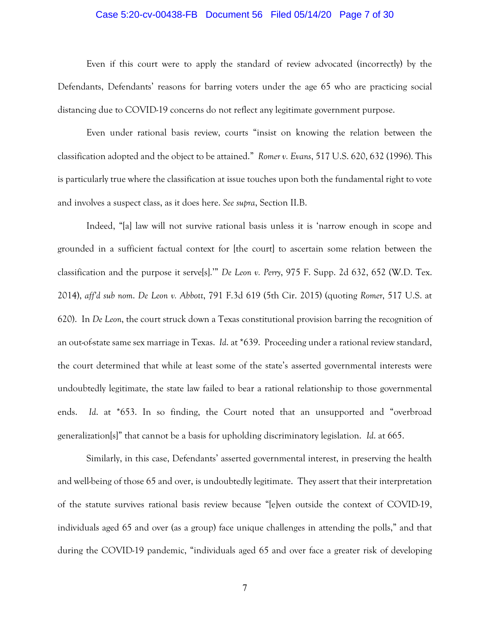## Case 5:20-cv-00438-FB Document 56 Filed 05/14/20 Page 7 of 30

Even if this court were to apply the standard of review advocated (incorrectly) by the Defendants, Defendants' reasons for barring voters under the age 65 who are practicing social distancing due to COVID-19 concerns do not reflect any legitimate government purpose.

Even under rational basis review, courts "insist on knowing the relation between the classification adopted and the object to be attained." *Romer v. Evans*, 517 U.S. 620, 632 (1996). This is particularly true where the classification at issue touches upon both the fundamental right to vote and involves a suspect class, as it does here. *See supra*, Section II.B.

Indeed, "[a] law will not survive rational basis unless it is 'narrow enough in scope and grounded in a sufficient factual context for [the court] to ascertain some relation between the classification and the purpose it serve[s].'" *De Leon v. Perry*, 975 F. Supp. 2d 632, 652 (W.D. Tex. 2014), *aff'd sub nom*. *De Leon v. Abbott*, 791 F.3d 619 (5th Cir. 2015) (quoting *Romer*, 517 U.S. at 620). In *De Leon*, the court struck down a Texas constitutional provision barring the recognition of an out-of-state same sex marriage in Texas. *Id*. at \*639. Proceeding under a rational review standard, the court determined that while at least some of the state's asserted governmental interests were undoubtedly legitimate, the state law failed to bear a rational relationship to those governmental ends. *Id*. at \*653. In so finding, the Court noted that an unsupported and "overbroad generalization[s]" that cannot be a basis for upholding discriminatory legislation. *Id*. at 665.

Similarly, in this case, Defendants' asserted governmental interest, in preserving the health and well-being of those 65 and over, is undoubtedly legitimate. They assert that their interpretation of the statute survives rational basis review because "[e]ven outside the context of COVID-19, individuals aged 65 and over (as a group) face unique challenges in attending the polls," and that during the COVID-19 pandemic, "individuals aged 65 and over face a greater risk of developing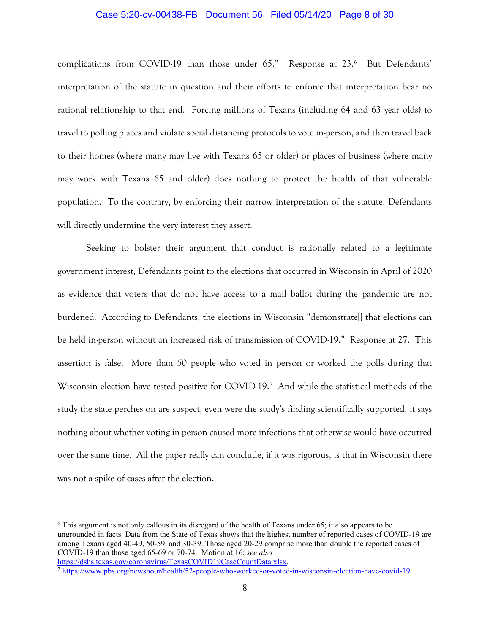## Case 5:20-cv-00438-FB Document 56 Filed 05/14/20 Page 8 of 30

complications from COVID-19 than those under 65." Response at 23.[6](#page-7-0) But Defendants' interpretation of the statute in question and their efforts to enforce that interpretation bear no rational relationship to that end. Forcing millions of Texans (including 64 and 63 year olds) to travel to polling places and violate social distancing protocols to vote in-person, and then travel back to their homes (where many may live with Texans 65 or older) or places of business (where many may work with Texans 65 and older) does nothing to protect the health of that vulnerable population. To the contrary, by enforcing their narrow interpretation of the statute, Defendants will directly undermine the very interest they assert.

Seeking to bolster their argument that conduct is rationally related to a legitimate government interest, Defendants point to the elections that occurred in Wisconsin in April of 2020 as evidence that voters that do not have access to a mail ballot during the pandemic are not burdened. According to Defendants, the elections in Wisconsin "demonstrate[] that elections can be held in-person without an increased risk of transmission of COVID-19." Response at 27. This assertion is false. More than 50 people who voted in person or worked the polls during that Wisconsin election have tested positive for COVID-19.[7](#page-7-1) And while the statistical methods of the study the state perches on are suspect, even were the study's finding scientifically supported, it says nothing about whether voting in-person caused more infections that otherwise would have occurred over the same time. All the paper really can conclude, if it was rigorous, is that in Wisconsin there was not a spike of cases after the election.

<span id="page-7-0"></span><sup>6</sup> This argument is not only callous in its disregard of the health of Texans under 65; it also appears to be ungrounded in facts. Data from the State of Texas shows that the highest number of reported cases of COVID-19 are among Texans aged 40-49, 50-59, and 30-39. Those aged 20-29 comprise more than double the reported cases of COVID-19 than those aged 65-69 or 70-74. Motion at 16; *see also*

[https://dshs.texas.gov/coronavirus/TexasCOVID19CaseCountData.xlsx.](https://dshs.texas.gov/coronavirus/TexasCOVID19CaseCountData.xlsx)

<span id="page-7-1"></span><sup>7</sup> <https://www.pbs.org/newshour/health/52-people-who-worked-or-voted-in-wisconsin-election-have-covid-19>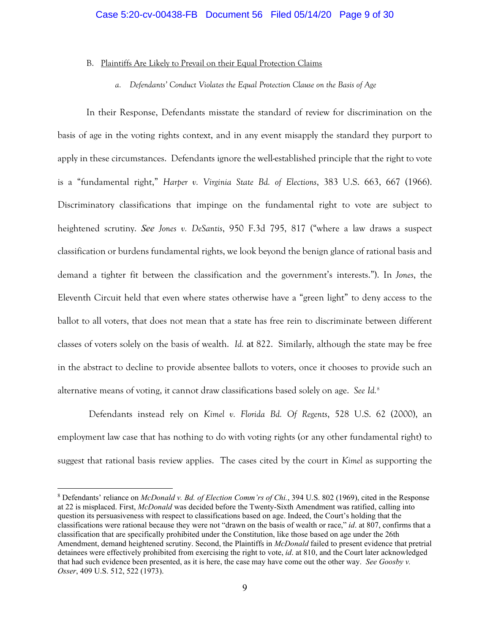## B. Plaintiffs Are Likely to Prevail on their Equal Protection Claims

*a. Defendants' Conduct Violates the Equal Protection Clause on the Basis of Age*

In their Response, Defendants misstate the standard of review for discrimination on the basis of age in the voting rights context, and in any event misapply the standard they purport to apply in these circumstances. Defendants ignore the well-established principle that the right to vote is a "fundamental right," *Harper v. Virginia State Bd. of Elections*, 383 U.S. 663, 667 (1966). Discriminatory classifications that impinge on the fundamental right to vote are subject to heightened scrutiny. *See Jones v. DeSantis*, 950 F.3d 795, 817 ("where a law draws a suspect classification or burdens fundamental rights, we look beyond the benign glance of rational basis and demand a tighter fit between the classification and the government's interests."). In *Jones*, the Eleventh Circuit held that even where states otherwise have a "green light" to deny access to the ballot to all voters, that does not mean that a state has free rein to discriminate between different classes of voters solely on the basis of wealth. *Id.* at 822. Similarly, although the state may be free in the abstract to decline to provide absentee ballots to voters, once it chooses to provide such an alternative means of voting, it cannot draw classifications based solely on age. *See Id.*[8](#page-8-0)

Defendants instead rely on *Kimel v. Florida Bd. Of Regents*, 528 U.S. 62 (2000), an employment law case that has nothing to do with voting rights (or any other fundamental right) to suggest that rational basis review applies. The cases cited by the court in *Kimel* as supporting the

<span id="page-8-0"></span><sup>8</sup> Defendants' reliance on *McDonald v. Bd. of Election Comm'rs of Chi.*, 394 U.S. 802 (1969), cited in the Response at 22 is misplaced. First, *McDonald* was decided before the Twenty-Sixth Amendment was ratified, calling into question its persuasiveness with respect to classifications based on age. Indeed, the Court's holding that the classifications were rational because they were not "drawn on the basis of wealth or race," *id*. at 807, confirms that a classification that are specifically prohibited under the Constitution, like those based on age under the 26th Amendment, demand heightened scrutiny. Second, the Plaintiffs in *McDonald* failed to present evidence that pretrial detainees were effectively prohibited from exercising the right to vote, *id*. at 810, and the Court later acknowledged that had such evidence been presented, as it is here, the case may have come out the other way. *See Goosby v. Osser*, 409 U.S. 512, 522 (1973).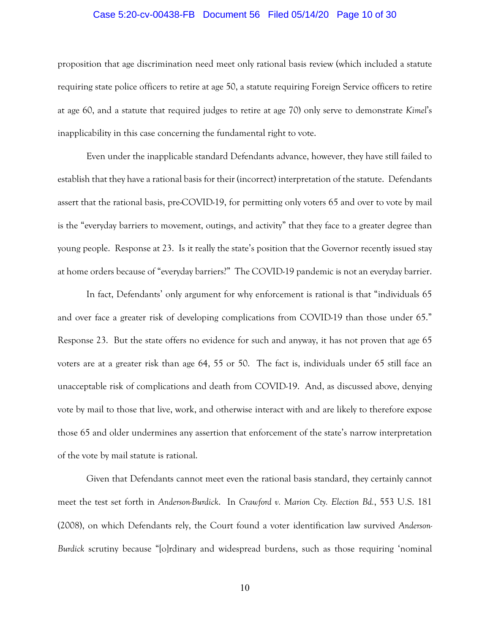## Case 5:20-cv-00438-FB Document 56 Filed 05/14/20 Page 10 of 30

proposition that age discrimination need meet only rational basis review (which included a statute requiring state police officers to retire at age 50, a statute requiring Foreign Service officers to retire at age 60, and a statute that required judges to retire at age 70) only serve to demonstrate *Kimel*'s inapplicability in this case concerning the fundamental right to vote.

Even under the inapplicable standard Defendants advance, however, they have still failed to establish that they have a rational basis for their (incorrect) interpretation of the statute. Defendants assert that the rational basis, pre-COVID-19, for permitting only voters 65 and over to vote by mail is the "everyday barriers to movement, outings, and activity" that they face to a greater degree than young people. Response at 23. Is it really the state's position that the Governor recently issued stay at home orders because of "everyday barriers?" The COVID-19 pandemic is not an everyday barrier.

In fact, Defendants' only argument for why enforcement is rational is that "individuals 65 and over face a greater risk of developing complications from COVID-19 than those under 65." Response 23. But the state offers no evidence for such and anyway, it has not proven that age 65 voters are at a greater risk than age 64, 55 or 50. The fact is, individuals under 65 still face an unacceptable risk of complications and death from COVID-19. And, as discussed above, denying vote by mail to those that live, work, and otherwise interact with and are likely to therefore expose those 65 and older undermines any assertion that enforcement of the state's narrow interpretation of the vote by mail statute is rational.

Given that Defendants cannot meet even the rational basis standard, they certainly cannot meet the test set forth in *Anderson-Burdick*. In *Crawford v. Marion Cty. Election Bd.*, 553 U.S. 181 (2008), on which Defendants rely, the Court found a voter identification law survived *Anderson-Burdick* scrutiny because "[o]rdinary and widespread burdens, such as those requiring 'nominal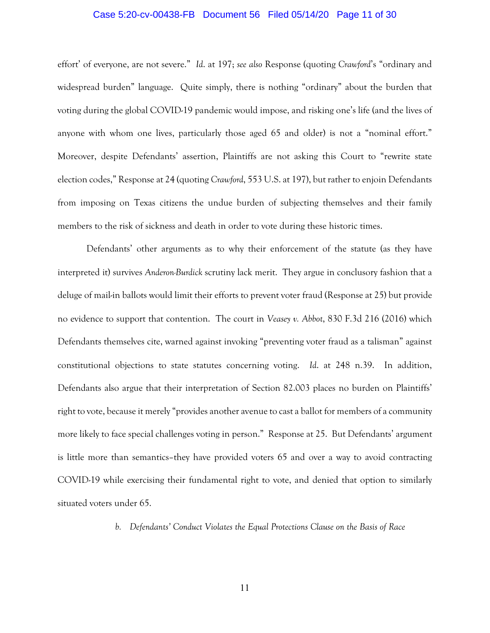## Case 5:20-cv-00438-FB Document 56 Filed 05/14/20 Page 11 of 30

effort' of everyone, are not severe." *Id*. at 197; *see also* Response (quoting *Crawford*'s "ordinary and widespread burden" language. Quite simply, there is nothing "ordinary" about the burden that voting during the global COVID-19 pandemic would impose, and risking one's life (and the lives of anyone with whom one lives, particularly those aged 65 and older) is not a "nominal effort." Moreover, despite Defendants' assertion, Plaintiffs are not asking this Court to "rewrite state election codes," Response at 24 (quoting *Crawford*, 553 U.S. at 197), but rather to enjoin Defendants from imposing on Texas citizens the undue burden of subjecting themselves and their family members to the risk of sickness and death in order to vote during these historic times.

Defendants' other arguments as to why their enforcement of the statute (as they have interpreted it) survives *Anderon-Burdick* scrutiny lack merit. They argue in conclusory fashion that a deluge of mail-in ballots would limit their efforts to prevent voter fraud (Response at 25) but provide no evidence to support that contention. The court in *Veasey v. Abbot*, 830 F.3d 216 (2016) which Defendants themselves cite, warned against invoking "preventing voter fraud as a talisman" against constitutional objections to state statutes concerning voting. *Id*. at 248 n.39. In addition, Defendants also argue that their interpretation of Section 82.003 places no burden on Plaintiffs' right to vote, because it merely "provides another avenue to cast a ballot for members of a community more likely to face special challenges voting in person." Response at 25. But Defendants' argument is little more than semantics–they have provided voters 65 and over a way to avoid contracting COVID-19 while exercising their fundamental right to vote, and denied that option to similarly situated voters under 65.

*b. Defendants' Conduct Violates the Equal Protections Clause on the Basis of Race*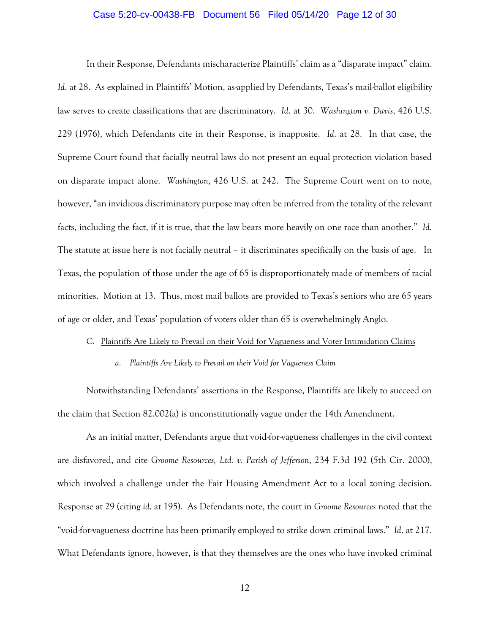## Case 5:20-cv-00438-FB Document 56 Filed 05/14/20 Page 12 of 30

In their Response, Defendants mischaracterize Plaintiffs' claim as a "disparate impact" claim. Id. at 28. As explained in Plaintiffs' Motion, as-applied by Defendants, Texas's mail-ballot eligibility law serves to create classifications that are discriminatory. *Id*. at 30. *Washington v. Davis*, 426 U.S. 229 (1976), which Defendants cite in their Response, is inapposite. *Id*. at 28. In that case, the Supreme Court found that facially neutral laws do not present an equal protection violation based on disparate impact alone. *Washington*, 426 U.S. at 242. The Supreme Court went on to note, however, "an invidious discriminatory purpose may often be inferred from the totality of the relevant facts, including the fact, if it is true, that the law bears more heavily on one race than another." *Id*. The statute at issue here is not facially neutral – it discriminates specifically on the basis of age. In Texas, the population of those under the age of 65 is disproportionately made of members of racial minorities. Motion at 13. Thus, most mail ballots are provided to Texas's seniors who are 65 years of age or older, and Texas' population of voters older than 65 is overwhelmingly Anglo.

### C. Plaintiffs Are Likely to Prevail on their Void for Vagueness and Voter Intimidation Claims

#### *a. Plaintiffs Are Likely to Prevail on their Void for Vagueness Claim*

Notwithstanding Defendants' assertions in the Response, Plaintiffs are likely to succeed on the claim that Section 82.002(a) is unconstitutionally vague under the 14th Amendment.

As an initial matter, Defendants argue that void-for-vagueness challenges in the civil context are disfavored, and cite *Groome Resources, Ltd. v. Parish of Jefferson*, 234 F.3d 192 (5th Cir. 2000), which involved a challenge under the Fair Housing Amendment Act to a local zoning decision. Response at 29 (citing *id*. at 195). As Defendants note, the court in *Groome Resources* noted that the "void-for-vagueness doctrine has been primarily employed to strike down criminal laws." *Id*. at 217. What Defendants ignore, however, is that they themselves are the ones who have invoked criminal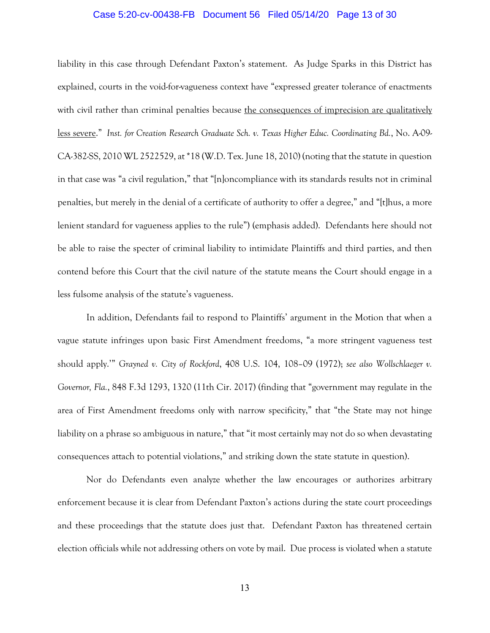## Case 5:20-cv-00438-FB Document 56 Filed 05/14/20 Page 13 of 30

liability in this case through Defendant Paxton's statement. As Judge Sparks in this District has explained, courts in the void-for-vagueness context have "expressed greater tolerance of enactments with civil rather than criminal penalties because the consequences of imprecision are qualitatively less severe." *Inst. for Creation Research Graduate Sch. v. Texas Higher Educ. Coordinating Bd.*, No. A-09- CA-382-SS, 2010 WL 2522529, at \*18 (W.D. Tex. June 18, 2010) (noting that the statute in question in that case was "a civil regulation," that "[n]oncompliance with its standards results not in criminal penalties, but merely in the denial of a certificate of authority to offer a degree," and "[t]hus, a more lenient standard for vagueness applies to the rule") (emphasis added). Defendants here should not be able to raise the specter of criminal liability to intimidate Plaintiffs and third parties, and then contend before this Court that the civil nature of the statute means the Court should engage in a less fulsome analysis of the statute's vagueness.

In addition, Defendants fail to respond to Plaintiffs' argument in the Motion that when a vague statute infringes upon basic First Amendment freedoms, "a more stringent vagueness test should apply.'" *Grayned v. City of Rockford*, 408 U.S. 104, 108–09 (1972); *see also Wollschlaeger v. Governor, Fla.*, 848 F.3d 1293, 1320 (11th Cir. 2017) (finding that "government may regulate in the area of First Amendment freedoms only with narrow specificity," that "the State may not hinge liability on a phrase so ambiguous in nature," that "it most certainly may not do so when devastating consequences attach to potential violations," and striking down the state statute in question).

Nor do Defendants even analyze whether the law encourages or authorizes arbitrary enforcement because it is clear from Defendant Paxton's actions during the state court proceedings and these proceedings that the statute does just that. Defendant Paxton has threatened certain election officials while not addressing others on vote by mail. Due process is violated when a statute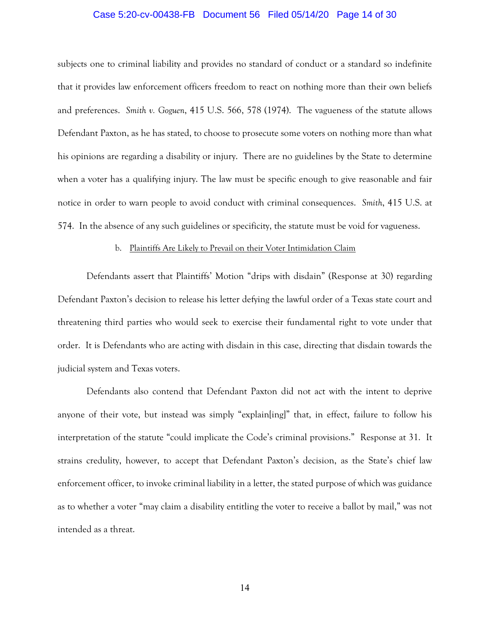## Case 5:20-cv-00438-FB Document 56 Filed 05/14/20 Page 14 of 30

subjects one to criminal liability and provides no standard of conduct or a standard so indefinite that it provides law enforcement officers freedom to react on nothing more than their own beliefs and preferences. *Smith v. Goguen*, 415 U.S. 566, 578 (1974). The vagueness of the statute allows Defendant Paxton, as he has stated, to choose to prosecute some voters on nothing more than what his opinions are regarding a disability or injury. There are no guidelines by the State to determine when a voter has a qualifying injury. The law must be specific enough to give reasonable and fair notice in order to warn people to avoid conduct with criminal consequences. *Smith*, 415 U.S. at 574. In the absence of any such guidelines or specificity, the statute must be void for vagueness.

### b. Plaintiffs Are Likely to Prevail on their Voter Intimidation Claim

Defendants assert that Plaintiffs' Motion "drips with disdain" (Response at 30) regarding Defendant Paxton's decision to release his letter defying the lawful order of a Texas state court and threatening third parties who would seek to exercise their fundamental right to vote under that order. It is Defendants who are acting with disdain in this case, directing that disdain towards the judicial system and Texas voters.

Defendants also contend that Defendant Paxton did not act with the intent to deprive anyone of their vote, but instead was simply "explain[ing]" that, in effect, failure to follow his interpretation of the statute "could implicate the Code's criminal provisions." Response at 31. It strains credulity, however, to accept that Defendant Paxton's decision, as the State's chief law enforcement officer, to invoke criminal liability in a letter, the stated purpose of which was guidance as to whether a voter "may claim a disability entitling the voter to receive a ballot by mail," was not intended as a threat.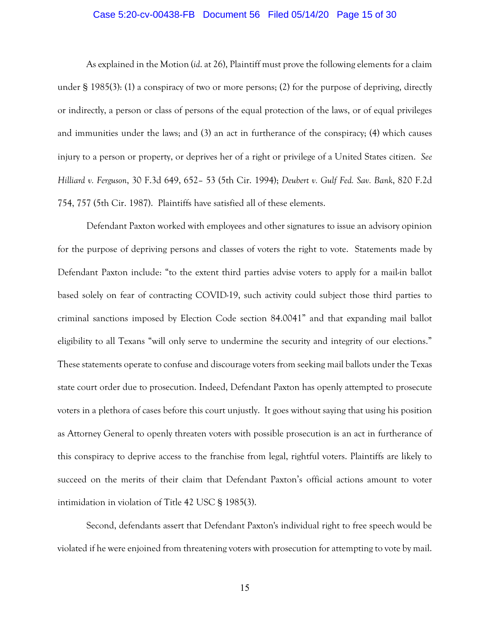## Case 5:20-cv-00438-FB Document 56 Filed 05/14/20 Page 15 of 30

As explained in the Motion (*id*. at 26), Plaintiff must prove the following elements for a claim under § 1985(3): (1) a conspiracy of two or more persons; (2) for the purpose of depriving, directly or indirectly, a person or class of persons of the equal protection of the laws, or of equal privileges and immunities under the laws; and (3) an act in furtherance of the conspiracy; (4) which causes injury to a person or property, or deprives her of a right or privilege of a United States citizen. *See Hilliard v. Ferguson*, 30 F.3d 649, 652– 53 (5th Cir. 1994); *Deubert v. Gulf Fed. Sav. Bank*, 820 F.2d 754, 757 (5th Cir. 1987). Plaintiffs have satisfied all of these elements.

Defendant Paxton worked with employees and other signatures to issue an advisory opinion for the purpose of depriving persons and classes of voters the right to vote. Statements made by Defendant Paxton include: "to the extent third parties advise voters to apply for a mail-in ballot based solely on fear of contracting COVID-19, such activity could subject those third parties to criminal sanctions imposed by Election Code section 84.0041" and that expanding mail ballot eligibility to all Texans "will only serve to undermine the security and integrity of our elections." These statements operate to confuse and discourage voters from seeking mail ballots under the Texas state court order due to prosecution. Indeed, Defendant Paxton has openly attempted to prosecute voters in a plethora of cases before this court unjustly. It goes without saying that using his position as Attorney General to openly threaten voters with possible prosecution is an act in furtherance of this conspiracy to deprive access to the franchise from legal, rightful voters. Plaintiffs are likely to succeed on the merits of their claim that Defendant Paxton's official actions amount to voter intimidation in violation of Title 42 USC § 1985(3).

Second, defendants assert that Defendant Paxton's individual right to free speech would be violated if he were enjoined from threatening voters with prosecution for attempting to vote by mail.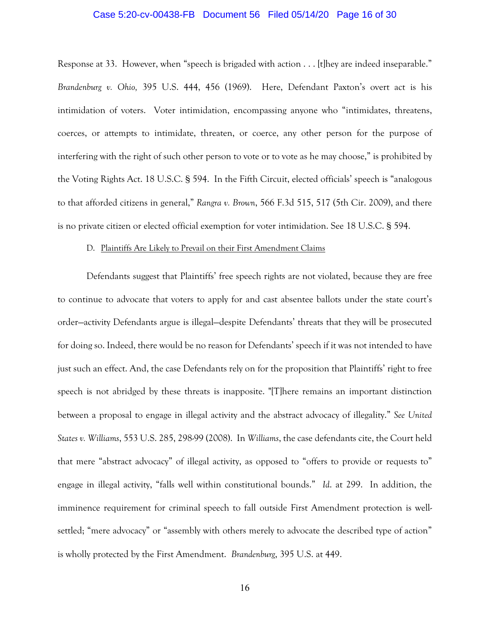## Case 5:20-cv-00438-FB Document 56 Filed 05/14/20 Page 16 of 30

Response at 33. However, when "speech is brigaded with action . . . [t]hey are indeed inseparable." *Brandenburg v. Ohio,* 395 U.S. 444, 456 (1969). Here, Defendant Paxton's overt act is his intimidation of voters. Voter intimidation, encompassing anyone who "intimidates, threatens, coerces, or attempts to intimidate, threaten, or coerce, any other person for the purpose of interfering with the right of such other person to vote or to vote as he may choose," is prohibited by the Voting Rights Act. 18 U.S.C. § 594. In the Fifth Circuit, elected officials' speech is "analogous to that afforded citizens in general," *Rangra v. Brown*, 566 F.3d 515, 517 (5th Cir. 2009), and there is no private citizen or elected official exemption for voter intimidation. See 18 U.S.C. § 594.

#### D. Plaintiffs Are Likely to Prevail on their First Amendment Claims

Defendants suggest that Plaintiffs' free speech rights are not violated, because they are free to continue to advocate that voters to apply for and cast absentee ballots under the state court's order—activity Defendants argue is illegal—despite Defendants' threats that they will be prosecuted for doing so. Indeed, there would be no reason for Defendants' speech if it was not intended to have just such an effect. And, the case Defendants rely on for the proposition that Plaintiffs' right to free speech is not abridged by these threats is inapposite. "[T]here remains an important distinction between a proposal to engage in illegal activity and the abstract advocacy of illegality." *See United States v. Williams*, 553 U.S. 285, 298-99 (2008). In *Williams*, the case defendants cite, the Court held that mere "abstract advocacy" of illegal activity, as opposed to "offers to provide or requests to" engage in illegal activity, "falls well within constitutional bounds." *Id*. at 299. In addition, the imminence requirement for criminal speech to fall outside First Amendment protection is wellsettled; "mere advocacy" or "assembly with others merely to advocate the described type of action" is wholly protected by the First Amendment. *Brandenburg*, 395 U.S. at 449.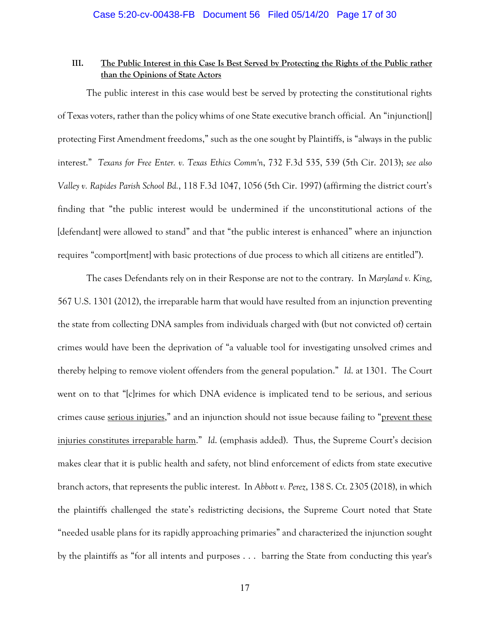## **III. The Public Interest in this Case Is Best Served by Protecting the Rights of the Public rather than the Opinions of State Actors**

The public interest in this case would best be served by protecting the constitutional rights of Texas voters, rather than the policy whims of one State executive branch official. An "injunction[] protecting First Amendment freedoms," such as the one sought by Plaintiffs, is "always in the public interest." *Texans for Free Enter. v. Texas Ethics Comm'n*, 732 F.3d 535, 539 (5th Cir. 2013); *see also Valley v. Rapides Parish School Bd.*, 118 F.3d 1047, 1056 (5th Cir. 1997) (affirming the district court's finding that "the public interest would be undermined if the unconstitutional actions of the [defendant] were allowed to stand" and that "the public interest is enhanced" where an injunction requires "comport[ment] with basic protections of due process to which all citizens are entitled").

The cases Defendants rely on in their Response are not to the contrary. In *Maryland v. King*, 567 U.S. 1301 (2012), the irreparable harm that would have resulted from an injunction preventing the state from collecting DNA samples from individuals charged with (but not convicted of) certain crimes would have been the deprivation of "a valuable tool for investigating unsolved crimes and thereby helping to remove violent offenders from the general population." *Id*. at 1301. The Court went on to that "[c]rimes for which DNA evidence is implicated tend to be serious, and serious crimes cause serious injuries," and an injunction should not issue because failing to "prevent these injuries constitutes irreparable harm." *Id*. (emphasis added). Thus, the Supreme Court's decision makes clear that it is public health and safety, not blind enforcement of edicts from state executive branch actors, that represents the public interest. In *Abbott v. Perez*, 138 S. Ct. 2305 (2018), in which the plaintiffs challenged the state's redistricting decisions, the Supreme Court noted that State "needed usable plans for its rapidly approaching primaries" and characterized the injunction sought by the plaintiffs as "for all intents and purposes . . . barring the State from conducting this year's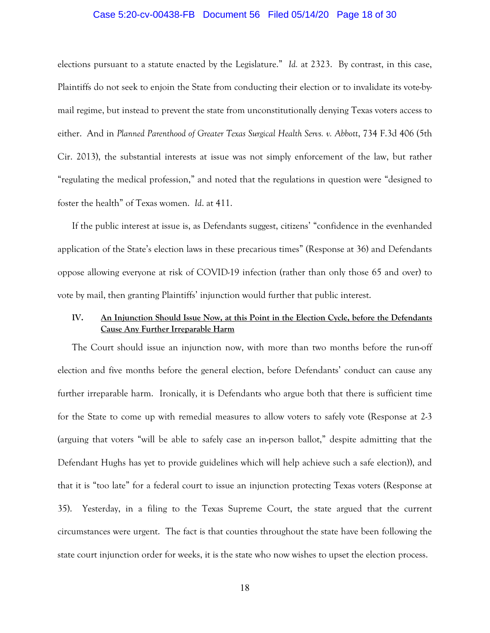## Case 5:20-cv-00438-FB Document 56 Filed 05/14/20 Page 18 of 30

elections pursuant to a statute enacted by the Legislature." *Id.* at 2323. By contrast, in this case, Plaintiffs do not seek to enjoin the State from conducting their election or to invalidate its vote-bymail regime, but instead to prevent the state from unconstitutionally denying Texas voters access to either. And in *Planned Parenthood of Greater Texas Surgical Health Servs. v. Abbott*, 734 F.3d 406 (5th Cir. 2013), the substantial interests at issue was not simply enforcement of the law, but rather "regulating the medical profession," and noted that the regulations in question were "designed to foster the health" of Texas women. *Id*. at 411.

If the public interest at issue is, as Defendants suggest, citizens' "confidence in the evenhanded application of the State's election laws in these precarious times" (Response at 36) and Defendants oppose allowing everyone at risk of COVID-19 infection (rather than only those 65 and over) to vote by mail, then granting Plaintiffs' injunction would further that public interest.

## **IV. An Injunction Should Issue Now, at this Point in the Election Cycle, before the Defendants Cause Any Further Irreparable Harm**

The Court should issue an injunction now, with more than two months before the run-off election and five months before the general election, before Defendants' conduct can cause any further irreparable harm. Ironically, it is Defendants who argue both that there is sufficient time for the State to come up with remedial measures to allow voters to safely vote (Response at 2-3 (arguing that voters "will be able to safely case an in-person ballot," despite admitting that the Defendant Hughs has yet to provide guidelines which will help achieve such a safe election)), and that it is "too late" for a federal court to issue an injunction protecting Texas voters (Response at 35). Yesterday, in a filing to the Texas Supreme Court, the state argued that the current circumstances were urgent. The fact is that counties throughout the state have been following the state court injunction order for weeks, it is the state who now wishes to upset the election process.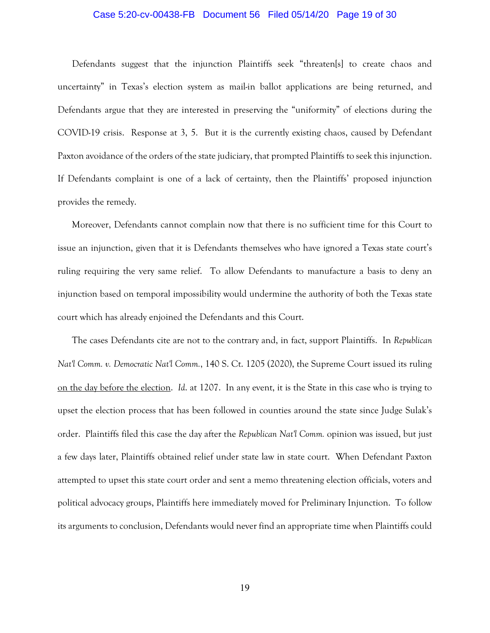## Case 5:20-cv-00438-FB Document 56 Filed 05/14/20 Page 19 of 30

Defendants suggest that the injunction Plaintiffs seek "threaten[s] to create chaos and uncertainty" in Texas's election system as mail-in ballot applications are being returned, and Defendants argue that they are interested in preserving the "uniformity" of elections during the COVID-19 crisis. Response at 3, 5. But it is the currently existing chaos, caused by Defendant Paxton avoidance of the orders of the state judiciary, that prompted Plaintiffs to seek this injunction. If Defendants complaint is one of a lack of certainty, then the Plaintiffs' proposed injunction provides the remedy.

Moreover, Defendants cannot complain now that there is no sufficient time for this Court to issue an injunction, given that it is Defendants themselves who have ignored a Texas state court's ruling requiring the very same relief. To allow Defendants to manufacture a basis to deny an injunction based on temporal impossibility would undermine the authority of both the Texas state court which has already enjoined the Defendants and this Court.

The cases Defendants cite are not to the contrary and, in fact, support Plaintiffs. In *Republican Nat'l Comm. v. Democratic Nat'l Comm.*, 140 S. Ct. 1205 (2020), the Supreme Court issued its ruling on the day before the election. *Id*. at 1207. In any event, it is the State in this case who is trying to upset the election process that has been followed in counties around the state since Judge Sulak's order. Plaintiffs filed this case the day after the *Republican Nat'l Comm.* opinion was issued, but just a few days later, Plaintiffs obtained relief under state law in state court. When Defendant Paxton attempted to upset this state court order and sent a memo threatening election officials, voters and political advocacy groups, Plaintiffs here immediately moved for Preliminary Injunction. To follow its arguments to conclusion, Defendants would never find an appropriate time when Plaintiffs could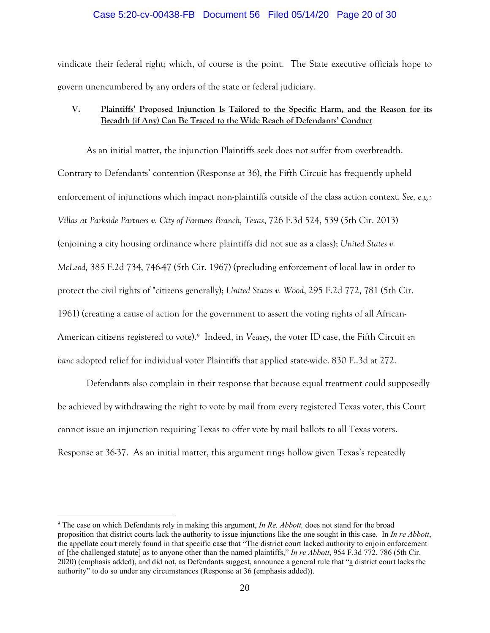## Case 5:20-cv-00438-FB Document 56 Filed 05/14/20 Page 20 of 30

vindicate their federal right; which, of course is the point. The State executive officials hope to govern unencumbered by any orders of the state or federal judiciary.

# **V. Plaintiffs' Proposed Injunction Is Tailored to the Specific Harm, and the Reason for its Breadth (if Any) Can Be Traced to the Wide Reach of Defendants' Conduct**

As an initial matter, the injunction Plaintiffs seek does not suffer from overbreadth. Contrary to Defendants' contention (Response at 36), the Fifth Circuit has frequently upheld enforcement of injunctions which impact non-plaintiffs outside of the class action context. *See, e.g.: Villas at Parkside Partners v. City of Farmers Branch, Texas*, 726 F.3d 524, 539 (5th Cir. 2013) (enjoining a city housing ordinance where plaintiffs did not sue as a class); *United States v. McLeod,* 385 F.2d 734, 746-47 (5th Cir. 1967) (precluding enforcement of local law in order to protect the civil rights of "citizens generally); *United States v. Wood*, 295 F.2d 772, 781 (5th Cir. 1961) (creating a cause of action for the government to assert the voting rights of all African-American citizens registered to vote). [9](#page-19-0) Indeed, in *Veasey*, the voter ID case, the Fifth Circuit *en banc* adopted relief for individual voter Plaintiffs that applied state-wide. 830 F..3d at 272.

Defendants also complain in their response that because equal treatment could supposedly be achieved by withdrawing the right to vote by mail from every registered Texas voter, this Court cannot issue an injunction requiring Texas to offer vote by mail ballots to all Texas voters. Response at 36-37. As an initial matter, this argument rings hollow given Texas's repeatedly

<span id="page-19-0"></span><sup>9</sup> The case on which Defendants rely in making this argument, *In Re. Abbott,* does not stand for the broad proposition that district courts lack the authority to issue injunctions like the one sought in this case. In *In re Abbott*, the appellate court merely found in that specific case that "The district court lacked authority to enjoin enforcement of [the challenged statute] as to anyone other than the named plaintiffs," *In re Abbott*, 954 F.3d 772, 786 (5th Cir. 2020) (emphasis added), and did not, as Defendants suggest, announce a general rule that "a district court lacks the authority" to do so under any circumstances (Response at 36 (emphasis added)).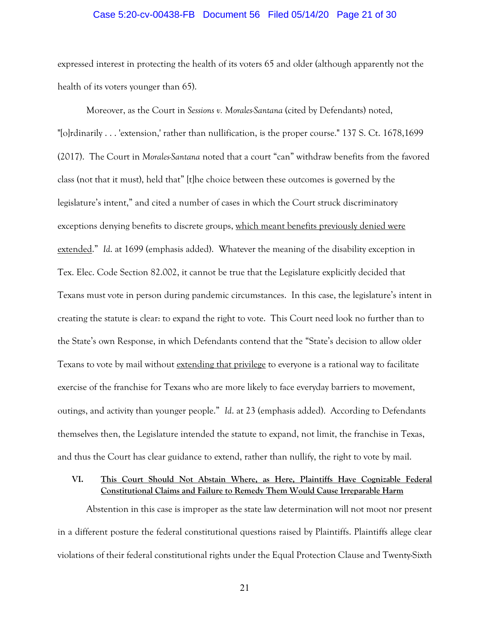## Case 5:20-cv-00438-FB Document 56 Filed 05/14/20 Page 21 of 30

expressed interest in protecting the health of its voters 65 and older (although apparently not the health of its voters younger than 65).

Moreover, as the Court in *Sessions v. Morales-Santana* (cited by Defendants) noted, "[o]rdinarily . . . 'extension,' rather than nullification, is the proper course." 137 S. Ct. 1678,1699 (2017). The Court in *Morales-Santana* noted that a court "can" withdraw benefits from the favored class (not that it must), held that" [t]he choice between these outcomes is governed by the legislature's intent," and cited a number of cases in which the Court struck discriminatory exceptions denying benefits to discrete groups, which meant benefits previously denied were extended." *Id*. at 1699 (emphasis added). Whatever the meaning of the disability exception in Tex. Elec. Code Section 82.002, it cannot be true that the Legislature explicitly decided that Texans must vote in person during pandemic circumstances. In this case, the legislature's intent in creating the statute is clear: to expand the right to vote. This Court need look no further than to the State's own Response, in which Defendants contend that the "State's decision to allow older Texans to vote by mail without extending that privilege to everyone is a rational way to facilitate exercise of the franchise for Texans who are more likely to face everyday barriers to movement, outings, and activity than younger people." *Id*. at 23 (emphasis added). According to Defendants themselves then, the Legislature intended the statute to expand, not limit, the franchise in Texas, and thus the Court has clear guidance to extend, rather than nullify, the right to vote by mail.

## **VI. This Court Should Not Abstain Where, as Here, Plaintiffs Have Cognizable Federal Constitutional Claims and Failure to Remedy Them Would Cause Irreparable Harm**

Abstention in this case is improper as the state law determination will not moot nor present in a different posture the federal constitutional questions raised by Plaintiffs. Plaintiffs allege clear violations of their federal constitutional rights under the Equal Protection Clause and Twenty-Sixth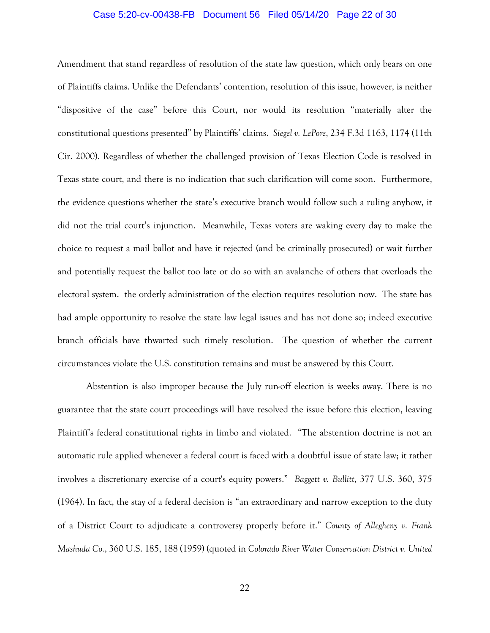## Case 5:20-cv-00438-FB Document 56 Filed 05/14/20 Page 22 of 30

Amendment that stand regardless of resolution of the state law question, which only bears on one of Plaintiffs claims. Unlike the Defendants' contention, resolution of this issue, however, is neither "dispositive of the case" before this Court, nor would its resolution "materially alter the constitutional questions presented" by Plaintiffs' claims. *Siegel v. LePore*, 234 F.3d 1163, 1174 (11th Cir. 2000). Regardless of whether the challenged provision of Texas Election Code is resolved in Texas state court, and there is no indication that such clarification will come soon. Furthermore, the evidence questions whether the state's executive branch would follow such a ruling anyhow, it did not the trial court's injunction. Meanwhile, Texas voters are waking every day to make the choice to request a mail ballot and have it rejected (and be criminally prosecuted) or wait further and potentially request the ballot too late or do so with an avalanche of others that overloads the electoral system. the orderly administration of the election requires resolution now. The state has had ample opportunity to resolve the state law legal issues and has not done so; indeed executive branch officials have thwarted such timely resolution. The question of whether the current circumstances violate the U.S. constitution remains and must be answered by this Court.

Abstention is also improper because the July run-off election is weeks away. There is no guarantee that the state court proceedings will have resolved the issue before this election, leaving Plaintiff's federal constitutional rights in limbo and violated. "The abstention doctrine is not an automatic rule applied whenever a federal court is faced with a doubtful issue of state law; it rather involves a discretionary exercise of a court's equity powers." *Baggett v. Bullitt*, 377 U.S. 360, 375 (1964). In fact, the stay of a federal decision is "an extraordinary and narrow exception to the duty of a District Court to adjudicate a controversy properly before it." *County of Allegheny v. Frank Mashuda Co.*, 360 U.S. 185, 188 (1959) (quoted in *Colorado River Water Conservation District v. United*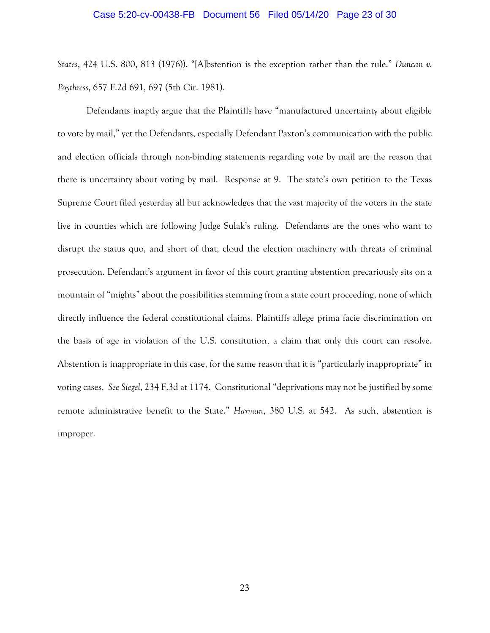## Case 5:20-cv-00438-FB Document 56 Filed 05/14/20 Page 23 of 30

*States*, 424 U.S. 800, 813 (1976)). "[A]bstention is the exception rather than the rule." *Duncan v. Poythress*, 657 F.2d 691, 697 (5th Cir. 1981).

Defendants inaptly argue that the Plaintiffs have "manufactured uncertainty about eligible to vote by mail," yet the Defendants, especially Defendant Paxton's communication with the public and election officials through non-binding statements regarding vote by mail are the reason that there is uncertainty about voting by mail. Response at 9. The state's own petition to the Texas Supreme Court filed yesterday all but acknowledges that the vast majority of the voters in the state live in counties which are following Judge Sulak's ruling. Defendants are the ones who want to disrupt the status quo, and short of that, cloud the election machinery with threats of criminal prosecution. Defendant's argument in favor of this court granting abstention precariously sits on a mountain of "mights" about the possibilities stemming from a state court proceeding, none of which directly influence the federal constitutional claims. Plaintiffs allege prima facie discrimination on the basis of age in violation of the U.S. constitution, a claim that only this court can resolve. Abstention is inappropriate in this case, for the same reason that it is "particularly inappropriate" in voting cases. *See Siegel*, 234 F.3d at 1174. Constitutional "deprivations may not be justified by some remote administrative benefit to the State." *Harman*, 380 U.S. at 542. As such, abstention is improper.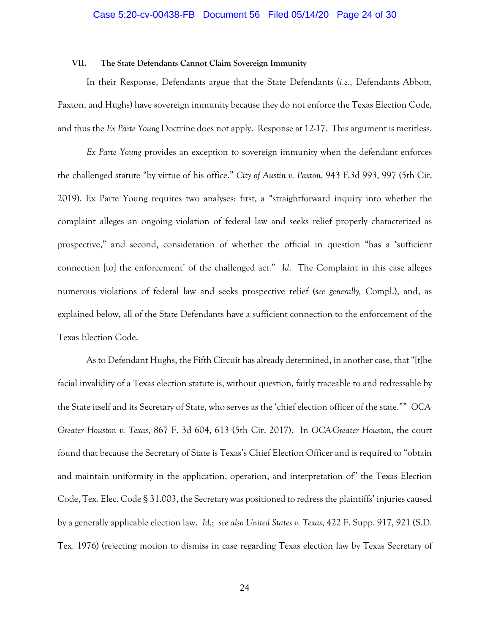## **VII. The State Defendants Cannot Claim Sovereign Immunity**

In their Response, Defendants argue that the State Defendants (*i.e.*, Defendants Abbott, Paxton, and Hughs) have sovereign immunity because they do not enforce the Texas Election Code, and thus the *Ex Parte Young* Doctrine does not apply. Response at 12-17. This argument is meritless.

*Ex Parte Young* provides an exception to sovereign immunity when the defendant enforces the challenged statute "by virtue of his office." *City of Austin v. Paxton*, 943 F.3d 993, 997 (5th Cir. 2019). Ex Parte Young requires two analyses: first, a "straightforward inquiry into whether the complaint alleges an ongoing violation of federal law and seeks relief properly characterized as prospective," and second, consideration of whether the official in question "has a 'sufficient connection [to] the enforcement' of the challenged act." *Id*. The Complaint in this case alleges numerous violations of federal law and seeks prospective relief (*see generally,* Compl.), and, as explained below, all of the State Defendants have a sufficient connection to the enforcement of the Texas Election Code.

As to Defendant Hughs, the Fifth Circuit has already determined, in another case, that "[t]he facial invalidity of a Texas election statute is, without question, fairly traceable to and redressable by the State itself and its Secretary of State, who serves as the 'chief election officer of the state."" *OCA-Greater Houston v. Texas*, 867 F. 3d 604, 613 (5th Cir. 2017). In *OCA-Greater Houston*, the court found that because the Secretary of State is Texas's Chief Election Officer and is required to "obtain and maintain uniformity in the application, operation, and interpretation of" the Texas Election Code, Tex. Elec. Code § 31.003, the Secretary was positioned to redress the plaintiffs' injuries caused by a generally applicable election law. *Id*.; *see also United States v. Texas*, 422 F. Supp. 917, 921 (S.D. Tex. 1976) (rejecting motion to dismiss in case regarding Texas election law by Texas Secretary of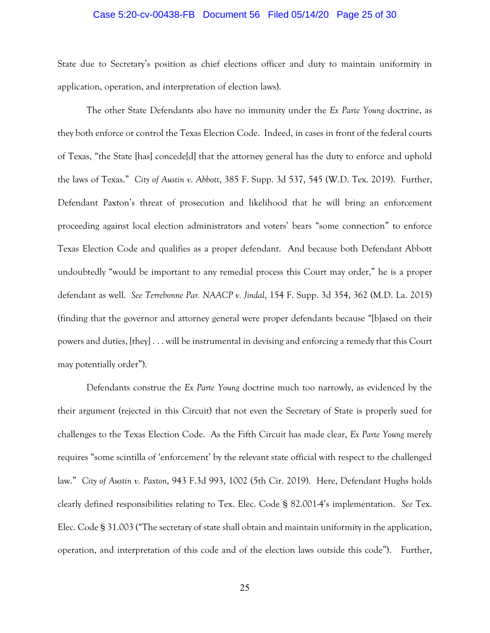## Case 5:20-cv-00438-FB Document 56 Filed 05/14/20 Page 25 of 30

State due to Secretary's position as chief elections officer and duty to maintain uniformity in application, operation, and interpretation of election laws).

The other State Defendants also have no immunity under the *Ex Parte Young* doctrine, as they both enforce or control the Texas Election Code. Indeed, in cases in front of the federal courts of Texas, "the State [has] concede[d] that the attorney general has the duty to enforce and uphold the laws of Texas." *City of Austin v. Abbott*, 385 F. Supp. 3d 537, 545 (W.D. Tex. 2019). Further, Defendant Paxton's threat of prosecution and likelihood that he will bring an enforcement proceeding against local election administrators and voters' bears "some connection" to enforce Texas Election Code and qualifies as a proper defendant. And because both Defendant Abbott undoubtedly "would be important to any remedial process this Court may order," he is a proper defendant as well. *See Terrebonne Par. NAACP v. Jindal*, 154 F. Supp. 3d 354, 362 (M.D. La. 2015) (finding that the governor and attorney general were proper defendants because "[b]ased on their powers and duties, [they] . . . will be instrumental in devising and enforcing a remedy that this Court may potentially order").

Defendants construe the *Ex Parte Young* doctrine much too narrowly, as evidenced by the their argument (rejected in this Circuit) that not even the Secretary of State is properly sued for challenges to the Texas Election Code. As the Fifth Circuit has made clear, *Ex Parte Young* merely requires "some scintilla of 'enforcement' by the relevant state official with respect to the challenged law." *City of Austin v. Paxton*, 943 F.3d 993, 1002 (5th Cir. 2019). Here, Defendant Hughs holds clearly defined responsibilities relating to Tex. Elec. Code § 82.001-4's implementation. *See* Tex. Elec. Code § 31.003 ("The secretary of state shall obtain and maintain uniformity in the application, operation, and interpretation of this code and of the election laws outside this code"). Further,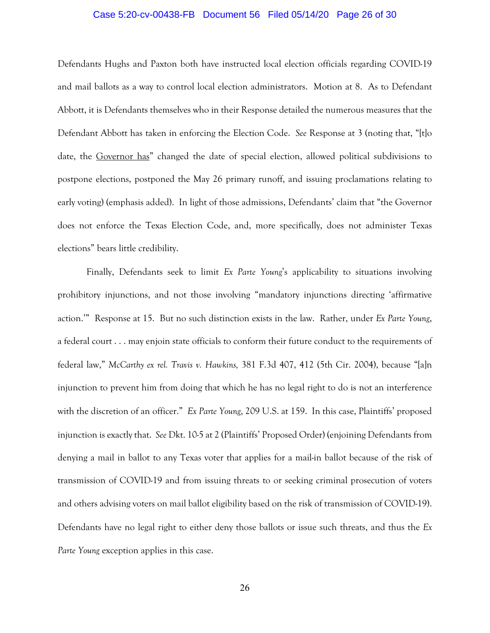## Case 5:20-cv-00438-FB Document 56 Filed 05/14/20 Page 26 of 30

Defendants Hughs and Paxton both have instructed local election officials regarding COVID-19 and mail ballots as a way to control local election administrators. Motion at 8. As to Defendant Abbott, it is Defendants themselves who in their Response detailed the numerous measures that the Defendant Abbott has taken in enforcing the Election Code. *See* Response at 3 (noting that, "[t]o date, the Governor has" changed the date of special election, allowed political subdivisions to postpone elections, postponed the May 26 primary runoff, and issuing proclamations relating to early voting) (emphasis added). In light of those admissions, Defendants' claim that "the Governor does not enforce the Texas Election Code, and, more specifically, does not administer Texas elections" bears little credibility.

Finally, Defendants seek to limit *Ex Parte Young*'s applicability to situations involving prohibitory injunctions, and not those involving "mandatory injunctions directing 'affirmative action.'" Response at 15. But no such distinction exists in the law. Rather, under *Ex Parte Young*, a federal court . . . may enjoin state officials to conform their future conduct to the requirements of federal law," *McCarthy ex rel. Travis v. Hawkins,* 381 F.3d 407, 412 (5th Cir. 2004), because "[a]n injunction to prevent him from doing that which he has no legal right to do is not an interference with the discretion of an officer." *Ex Parte Young*, 209 U.S. at 159. In this case, Plaintiffs' proposed injunction is exactly that. *See* Dkt. 10-5 at 2 (Plaintiffs' Proposed Order) (enjoining Defendants from denying a mail in ballot to any Texas voter that applies for a mail-in ballot because of the risk of transmission of COVID-19 and from issuing threats to or seeking criminal prosecution of voters and others advising voters on mail ballot eligibility based on the risk of transmission of COVID-19). Defendants have no legal right to either deny those ballots or issue such threats, and thus the *Ex Parte Young* exception applies in this case.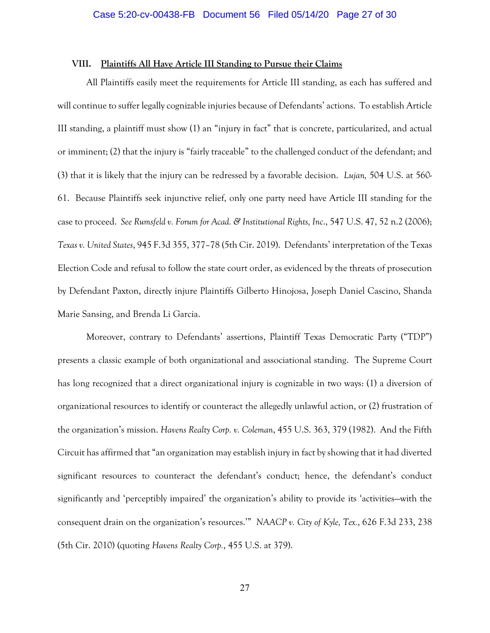## **VIII. Plaintiffs All Have Article III Standing to Pursue their Claims**

All Plaintiffs easily meet the requirements for Article III standing, as each has suffered and will continue to suffer legally cognizable injuries because of Defendants' actions. To establish Article III standing, a plaintiff must show (1) an "injury in fact" that is concrete, particularized, and actual or imminent; (2) that the injury is "fairly traceable" to the challenged conduct of the defendant; and (3) that it is likely that the injury can be redressed by a favorable decision. *Lujan,* 504 U.S. at 560- 61. Because Plaintiffs seek injunctive relief, only one party need have Article III standing for the case to proceed. *See Rumsfeld v. Forum for Acad. & Institutional Rights, Inc*., 547 U.S. 47, 52 n.2 (2006); *Texas v. United States*, 945 F.3d 355, 377–78 (5th Cir. 2019). Defendants' interpretation of the Texas Election Code and refusal to follow the state court order, as evidenced by the threats of prosecution by Defendant Paxton, directly injure Plaintiffs Gilberto Hinojosa, Joseph Daniel Cascino, Shanda Marie Sansing, and Brenda Li Garcia.

Moreover, contrary to Defendants' assertions, Plaintiff Texas Democratic Party ("TDP") presents a classic example of both organizational and associational standing. The Supreme Court has long recognized that a direct organizational injury is cognizable in two ways: (1) a diversion of organizational resources to identify or counteract the allegedly unlawful action, or (2) frustration of the organization's mission. *Havens Realty Corp. v. Coleman*, 455 U.S. 363, 379 (1982). And the Fifth Circuit has affirmed that "an organization may establish injury in fact by showing that it had diverted significant resources to counteract the defendant's conduct; hence, the defendant's conduct significantly and 'perceptibly impaired' the organization's ability to provide its 'activities—with the consequent drain on the organization's resources.'" *NAACP v. City of Kyle, Tex.*, 626 F.3d 233, 238 (5th Cir. 2010) (quoting *Havens Realty Corp.*, 455 U.S. at 379).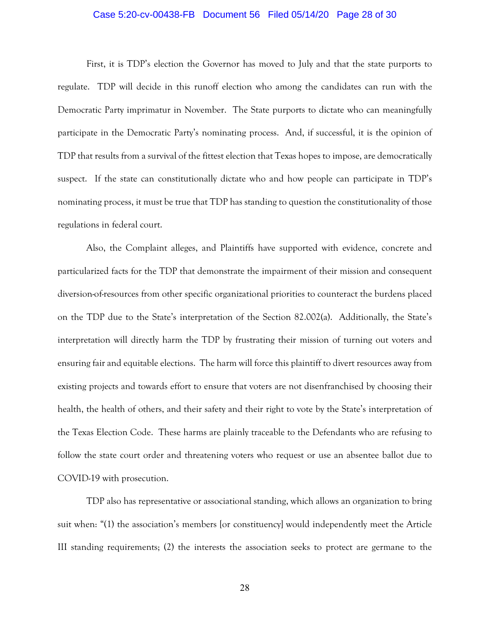## Case 5:20-cv-00438-FB Document 56 Filed 05/14/20 Page 28 of 30

First, it is TDP's election the Governor has moved to July and that the state purports to regulate. TDP will decide in this runoff election who among the candidates can run with the Democratic Party imprimatur in November. The State purports to dictate who can meaningfully participate in the Democratic Party's nominating process. And, if successful, it is the opinion of TDP that results from a survival of the fittest election that Texas hopes to impose, are democratically suspect. If the state can constitutionally dictate who and how people can participate in TDP's nominating process, it must be true that TDP has standing to question the constitutionality of those regulations in federal court.

Also, the Complaint alleges, and Plaintiffs have supported with evidence, concrete and particularized facts for the TDP that demonstrate the impairment of their mission and consequent diversion-of-resources from other specific organizational priorities to counteract the burdens placed on the TDP due to the State's interpretation of the Section 82.002(a). Additionally, the State's interpretation will directly harm the TDP by frustrating their mission of turning out voters and ensuring fair and equitable elections. The harm will force this plaintiff to divert resources away from existing projects and towards effort to ensure that voters are not disenfranchised by choosing their health, the health of others, and their safety and their right to vote by the State's interpretation of the Texas Election Code. These harms are plainly traceable to the Defendants who are refusing to follow the state court order and threatening voters who request or use an absentee ballot due to COVID-19 with prosecution.

TDP also has representative or associational standing, which allows an organization to bring suit when: "(1) the association's members [or constituency] would independently meet the Article III standing requirements; (2) the interests the association seeks to protect are germane to the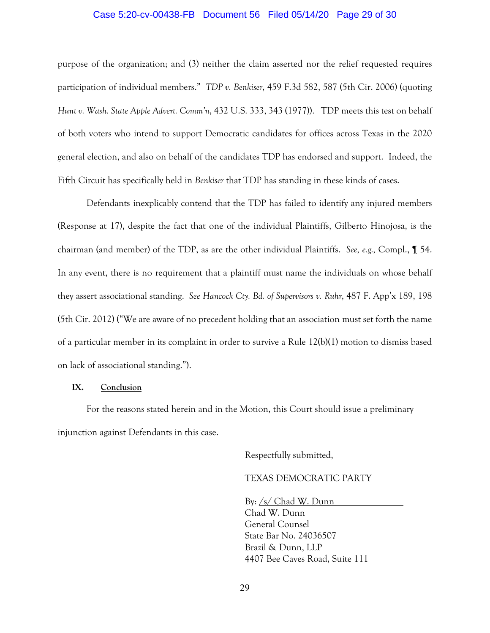## Case 5:20-cv-00438-FB Document 56 Filed 05/14/20 Page 29 of 30

purpose of the organization; and (3) neither the claim asserted nor the relief requested requires participation of individual members." *TDP v. Benkiser*, 459 F.3d 582, 587 (5th Cir. 2006) (quoting *Hunt v. Wash. State Apple Advert. Comm'n*, 432 U.S. 333, 343 (1977)). TDP meets this test on behalf of both voters who intend to support Democratic candidates for offices across Texas in the 2020 general election, and also on behalf of the candidates TDP has endorsed and support. Indeed, the Fifth Circuit has specifically held in *Benkiser* that TDP has standing in these kinds of cases.

Defendants inexplicably contend that the TDP has failed to identify any injured members (Response at 17), despite the fact that one of the individual Plaintiffs, Gilberto Hinojosa, is the chairman (and member) of the TDP, as are the other individual Plaintiffs. *See, e.g.,* Compl., ¶ 54. In any event, there is no requirement that a plaintiff must name the individuals on whose behalf they assert associational standing. *See Hancock Cty. Bd. of Supervisors v. Ruhr*, 487 F. App'x 189, 198 (5th Cir. 2012) ("We are aware of no precedent holding that an association must set forth the name of a particular member in its complaint in order to survive a Rule 12(b)(1) motion to dismiss based on lack of associational standing.").

## **IX. Conclusion**

For the reasons stated herein and in the Motion, this Court should issue a preliminary injunction against Defendants in this case.

Respectfully submitted,

# TEXAS DEMOCRATIC PARTY

By: /s/ Chad W. Dunn Chad W. Dunn General Counsel State Bar No. 24036507 Brazil & Dunn, LLP 4407 Bee Caves Road, Suite 111